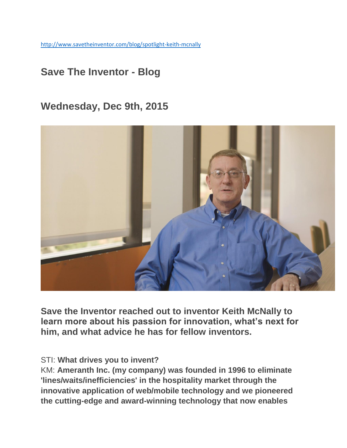<http://www.savetheinventor.com/blog/spotlight-keith-mcnally>

# **Save The Inventor - Blog**

## **Wednesday, Dec 9th, 2015**



**Save the Inventor reached out to inventor Keith McNally to learn more about his passion for innovation, what's next for him, and what advice he has for fellow inventors.** 

#### STI: **What drives you to invent?**

KM: **Ameranth Inc. (my company) was founded in 1996 to eliminate 'lines/waits/inefficiencies' in the hospitality market through the innovative application of web/mobile technology and we pioneered the cutting-edge and award-winning technology that now enables**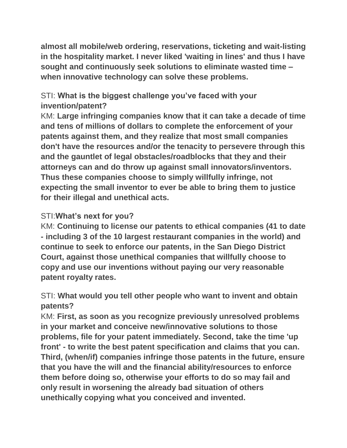**almost all mobile/web ordering, reservations, ticketing and wait-listing in the hospitality market. I never liked 'waiting in lines' and thus I have sought and continuously seek solutions to eliminate wasted time – when innovative technology can solve these problems.**

### STI: **What is the biggest challenge you've faced with your invention/patent?**

KM: **Large infringing companies know that it can take a decade of time and tens of millions of dollars to complete the enforcement of your patents against them, and they realize that most small companies don't have the resources and/or the tenacity to persevere through this and the gauntlet of legal obstacles/roadblocks that they and their attorneys can and do throw up against small innovators/inventors. Thus these companies choose to simply willfully infringe, not expecting the small inventor to ever be able to bring them to justice for their illegal and unethical acts.**

#### STI:**What's next for you?**

KM: **Continuing to license our patents to ethical companies (41 to date - including 3 of the 10 largest restaurant companies in the world) and continue to seek to enforce our patents, in the San Diego District Court, against those unethical companies that willfully choose to copy and use our inventions without paying our very reasonable patent royalty rates.**

### STI: **What would you tell other people who want to invent and obtain patents?**

KM: **First, as soon as you recognize previously unresolved problems in your market and conceive new/innovative solutions to those problems, file for your patent immediately. Second, take the time 'up front' - to write the best patent specification and claims that you can. Third, (when/if) companies infringe those patents in the future, ensure that you have the will and the financial ability/resources to enforce them before doing so, otherwise your efforts to do so may fail and only result in worsening the already bad situation of others unethically copying what you conceived and invented.**